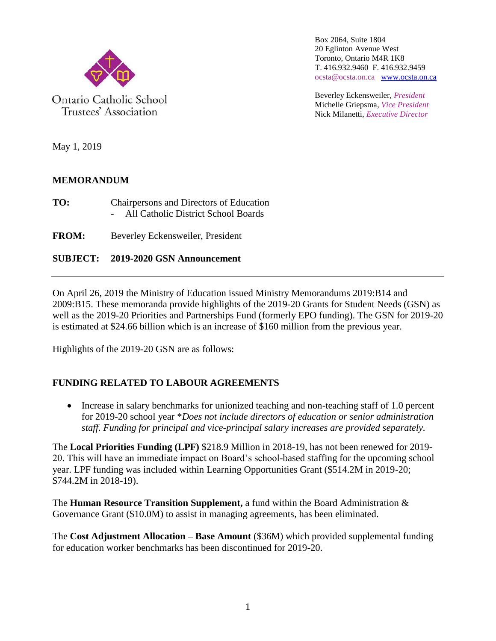

Ontario Catholic School Trustees' Association

Box 2064, Suite 1804 20 Eglinton Avenue West Toronto, Ontario M4R 1K8 T. 416.932.9460 F. 416.932.9459 ocsta@ocsta.on.ca [www.ocsta.on.ca](http://www.ocsta.on.ca/)

Beverley Eckensweiler, *President* Michelle Griepsma, *Vice President* Nick Milanetti, *Executive Director*

May 1, 2019

# **MEMORANDUM**

**TO:** Chairpersons and Directors of Education All Catholic District School Boards

**FROM:** Beverley Eckensweiler, President

**SUBJECT: 2019-2020 GSN Announcement**

On April 26, 2019 the Ministry of Education issued Ministry Memorandums 2019:B14 and 2009:B15. These memoranda provide highlights of the 2019-20 Grants for Student Needs (GSN) as well as the 2019-20 Priorities and Partnerships Fund (formerly EPO funding). The GSN for 2019-20 is estimated at \$24.66 billion which is an increase of \$160 million from the previous year.

Highlights of the 2019-20 GSN are as follows:

# **FUNDING RELATED TO LABOUR AGREEMENTS**

• Increase in salary benchmarks for unionized teaching and non-teaching staff of 1.0 percent for 2019-20 school year \**Does not include directors of education or senior administration staff. Funding for principal and vice-principal salary increases are provided separately.*

The **Local Priorities Funding (LPF)** \$218.9 Million in 2018-19, has not been renewed for 2019- 20. This will have an immediate impact on Board's school-based staffing for the upcoming school year. LPF funding was included within Learning Opportunities Grant (\$514.2M in 2019-20; \$744.2M in 2018-19).

The **Human Resource Transition Supplement,** a fund within the Board Administration & Governance Grant (\$10.0M) to assist in managing agreements, has been eliminated.

The **Cost Adjustment Allocation – Base Amount** (\$36M) which provided supplemental funding for education worker benchmarks has been discontinued for 2019-20.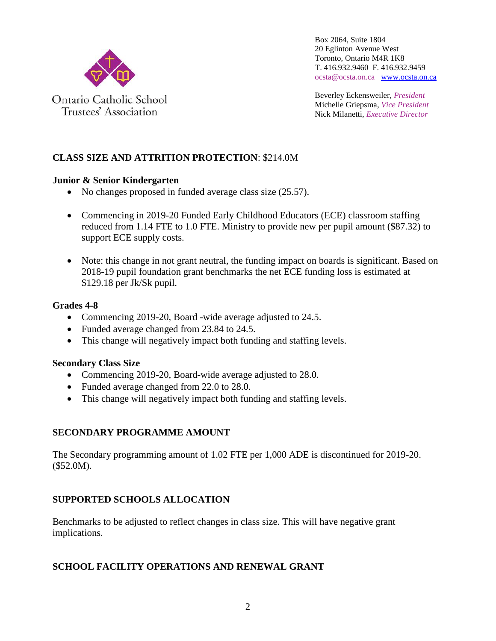

Beverley Eckensweiler, *President* Michelle Griepsma, *Vice President* Nick Milanetti, *Executive Director*

# **CLASS SIZE AND ATTRITION PROTECTION**: \$214.0M

#### **Junior & Senior Kindergarten**

- No changes proposed in funded average class size (25.57).
- Commencing in 2019-20 Funded Early Childhood Educators (ECE) classroom staffing reduced from 1.14 FTE to 1.0 FTE. Ministry to provide new per pupil amount (\$87.32) to support ECE supply costs.
- Note: this change in not grant neutral, the funding impact on boards is significant. Based on 2018-19 pupil foundation grant benchmarks the net ECE funding loss is estimated at \$129.18 per Jk/Sk pupil.

#### **Grades 4-8**

- Commencing 2019-20, Board -wide average adjusted to 24.5.
- Funded average changed from 23.84 to 24.5.
- This change will negatively impact both funding and staffing levels.

# **Secondary Class Size**

- Commencing 2019-20, Board-wide average adjusted to 28.0.
- Funded average changed from 22.0 to 28.0.
- This change will negatively impact both funding and staffing levels.

# **SECONDARY PROGRAMME AMOUNT**

The Secondary programming amount of 1.02 FTE per 1,000 ADE is discontinued for 2019-20. (\$52.0M).

# **SUPPORTED SCHOOLS ALLOCATION**

Benchmarks to be adjusted to reflect changes in class size. This will have negative grant implications.

# **SCHOOL FACILITY OPERATIONS AND RENEWAL GRANT**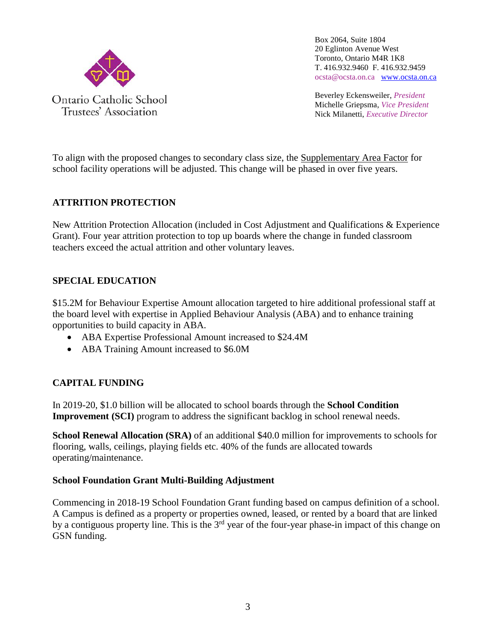

Beverley Eckensweiler, *President* Michelle Griepsma, *Vice President* Nick Milanetti, *Executive Director*

To align with the proposed changes to secondary class size, the Supplementary Area Factor for school facility operations will be adjusted. This change will be phased in over five years.

# **ATTRITION PROTECTION**

New Attrition Protection Allocation (included in Cost Adjustment and Qualifications & Experience Grant). Four year attrition protection to top up boards where the change in funded classroom teachers exceed the actual attrition and other voluntary leaves.

# **SPECIAL EDUCATION**

\$15.2M for Behaviour Expertise Amount allocation targeted to hire additional professional staff at the board level with expertise in Applied Behaviour Analysis (ABA) and to enhance training opportunities to build capacity in ABA.

- ABA Expertise Professional Amount increased to \$24.4M
- ABA Training Amount increased to \$6.0M

# **CAPITAL FUNDING**

In 2019-20, \$1.0 billion will be allocated to school boards through the **School Condition Improvement (SCI)** program to address the significant backlog in school renewal needs.

**School Renewal Allocation (SRA)** of an additional \$40.0 million for improvements to schools for flooring, walls, ceilings, playing fields etc. 40% of the funds are allocated towards operating/maintenance.

#### **School Foundation Grant Multi-Building Adjustment**

Commencing in 2018-19 School Foundation Grant funding based on campus definition of a school. A Campus is defined as a property or properties owned, leased, or rented by a board that are linked by a contiguous property line. This is the  $3<sup>rd</sup>$  year of the four-year phase-in impact of this change on GSN funding.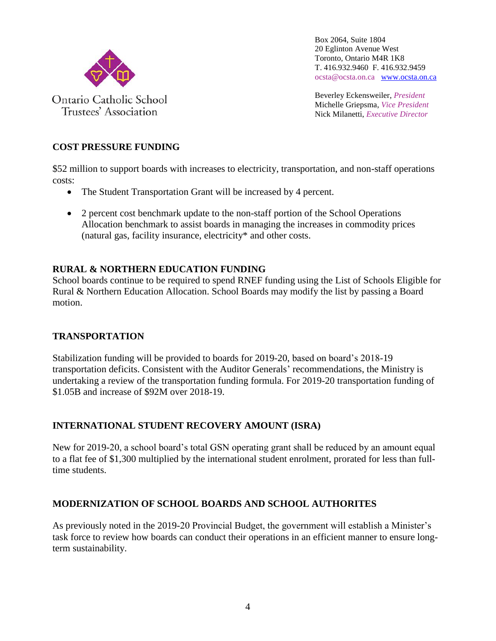

Beverley Eckensweiler, *President* Michelle Griepsma, *Vice President* Nick Milanetti, *Executive Director*

### **COST PRESSURE FUNDING**

\$52 million to support boards with increases to electricity, transportation, and non-staff operations costs:

- The Student Transportation Grant will be increased by 4 percent.
- 2 percent cost benchmark update to the non-staff portion of the School Operations Allocation benchmark to assist boards in managing the increases in commodity prices (natural gas, facility insurance, electricity\* and other costs.

#### **RURAL & NORTHERN EDUCATION FUNDING**

School boards continue to be required to spend RNEF funding using the List of Schools Eligible for Rural & Northern Education Allocation. School Boards may modify the list by passing a Board motion.

#### **TRANSPORTATION**

Stabilization funding will be provided to boards for 2019-20, based on board's 2018-19 transportation deficits. Consistent with the Auditor Generals' recommendations, the Ministry is undertaking a review of the transportation funding formula. For 2019-20 transportation funding of \$1.05B and increase of \$92M over 2018-19.

# **INTERNATIONAL STUDENT RECOVERY AMOUNT (ISRA)**

New for 2019-20, a school board's total GSN operating grant shall be reduced by an amount equal to a flat fee of \$1,300 multiplied by the international student enrolment, prorated for less than fulltime students.

# **MODERNIZATION OF SCHOOL BOARDS AND SCHOOL AUTHORITES**

As previously noted in the 2019-20 Provincial Budget, the government will establish a Minister's task force to review how boards can conduct their operations in an efficient manner to ensure longterm sustainability.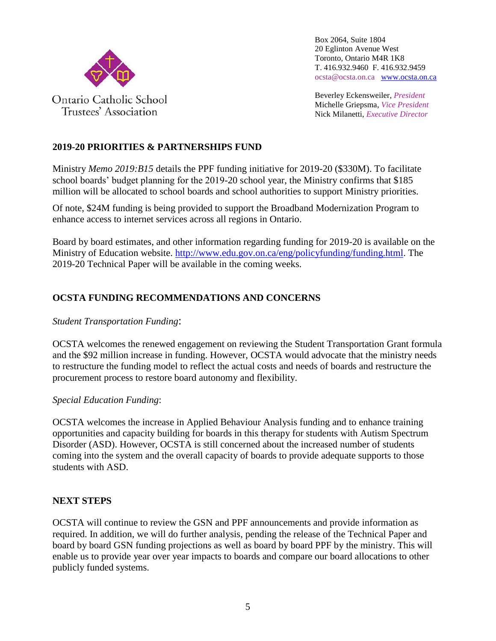

Beverley Eckensweiler, *President* Michelle Griepsma, *Vice President* Nick Milanetti, *Executive Director*

# **2019-20 PRIORITIES & PARTNERSHIPS FUND**

Ministry *Memo 2019:B15* details the PPF funding initiative for 2019-20 (\$330M). To facilitate school boards' budget planning for the 2019-20 school year, the Ministry confirms that \$185 million will be allocated to school boards and school authorities to support Ministry priorities.

Of note, \$24M funding is being provided to support the Broadband Modernization Program to enhance access to internet services across all regions in Ontario.

Board by board estimates, and other information regarding funding for 2019-20 is available on the Ministry of Education website. [http://www.edu.gov.on.ca/eng/policyfunding/funding.html.](http://www.edu.gov.on.ca/eng/policyfunding/funding.html) The 2019-20 Technical Paper will be available in the coming weeks.

# **OCSTA FUNDING RECOMMENDATIONS AND CONCERNS**

#### *Student Transportation Funding*:

OCSTA welcomes the renewed engagement on reviewing the Student Transportation Grant formula and the \$92 million increase in funding. However, OCSTA would advocate that the ministry needs to restructure the funding model to reflect the actual costs and needs of boards and restructure the procurement process to restore board autonomy and flexibility.

*Special Education Funding*:

OCSTA welcomes the increase in Applied Behaviour Analysis funding and to enhance training opportunities and capacity building for boards in this therapy for students with Autism Spectrum Disorder (ASD). However, OCSTA is still concerned about the increased number of students coming into the system and the overall capacity of boards to provide adequate supports to those students with ASD.

# **NEXT STEPS**

OCSTA will continue to review the GSN and PPF announcements and provide information as required. In addition, we will do further analysis, pending the release of the Technical Paper and board by board GSN funding projections as well as board by board PPF by the ministry. This will enable us to provide year over year impacts to boards and compare our board allocations to other publicly funded systems.